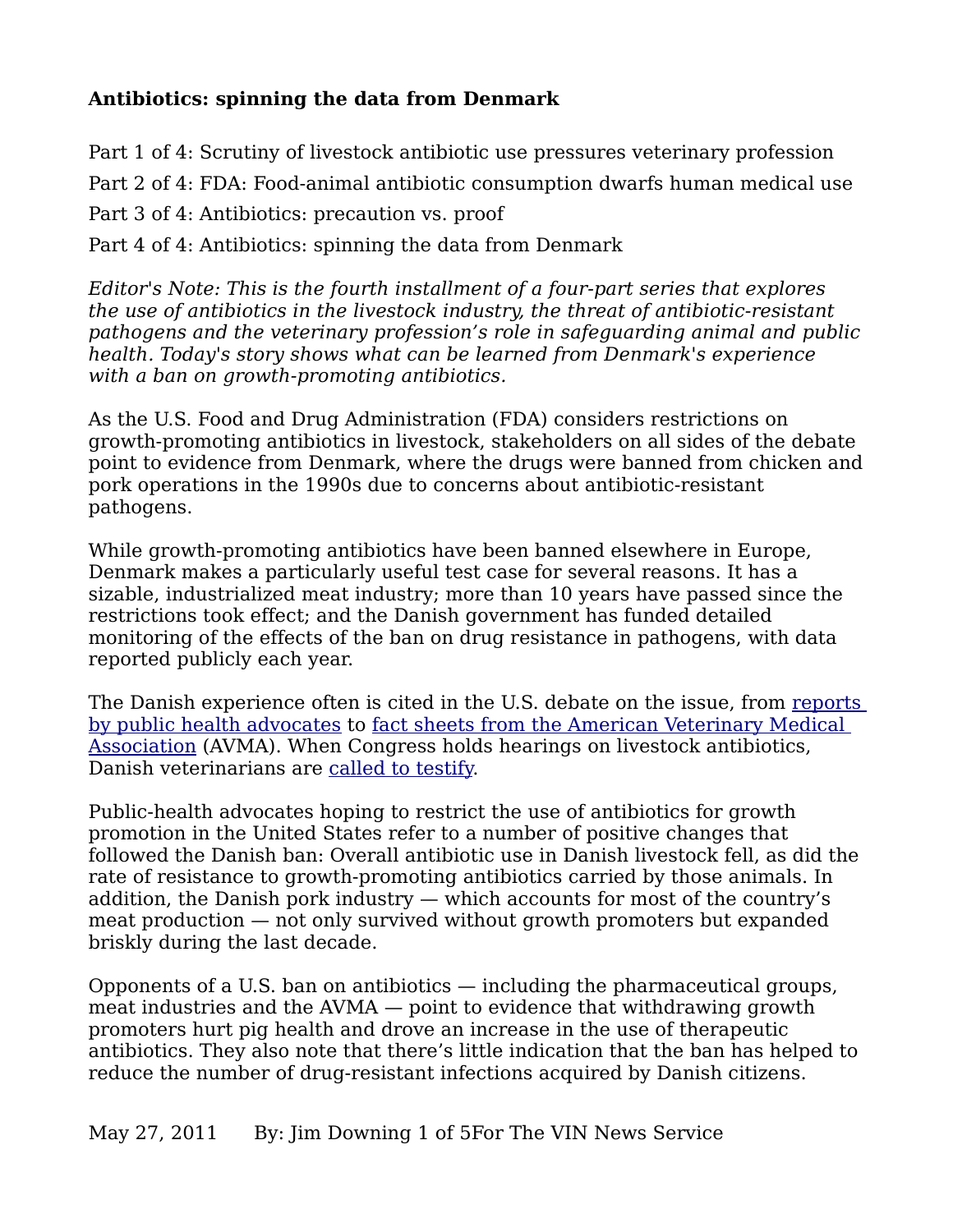## **Antibiotics: spinning the data from Denmark**

Part 1 of 4: Scrutiny of livestock antibiotic use pressures veterinary profession Part 2 of 4: FDA: Food-animal antibiotic consumption dwarfs human medical use Part 3 of 4: Antibiotics: precaution vs. proof Part 4 of 4: Antibiotics: spinning the data from Denmark

*Editor's Note: This is the fourth installment of a four-part series that explores the use of antibiotics in the livestock industry, the threat of antibiotic-resistant pathogens and the veterinary profession's role in safeguarding animal and public health. Today's story shows what can be learned from Denmark's experience with a ban on growth-promoting antibiotics.*

As the U.S. Food and Drug Administration (FDA) considers restrictions on growth-promoting antibiotics in livestock, stakeholders on all sides of the debate point to evidence from Denmark, where the drugs were banned from chicken and pork operations in the 1990s due to concerns about antibiotic-resistant pathogens.

While growth-promoting antibiotics have been banned elsewhere in Europe, Denmark makes a particularly useful test case for several reasons. It has a sizable, industrialized meat industry; more than 10 years have passed since the restrictions took effect; and the Danish government has funded detailed monitoring of the effects of the ban on drug resistance in pathogens, with data reported publicly each year.

The Danish experience often is cited in the U.S. debate on the issue, from [reports](http://www.ncifap.org/) [by public health advocates](http://www.ncifap.org/) to [fact sheets from the American Veterinary Medical](http://www.avma.org/public_health/antimicrobial_use.asp)  [Association](http://www.avma.org/public_health/antimicrobial_use.asp) (AVMA). When Congress holds hearings on livestock antibiotics, Danish veterinarians are [called to testify.](http://www.livablefutureblog.com/wp-content/uploads/2009/08/testimony-of-dr-frank-moller-aarestrup-1.pdf)

Public-health advocates hoping to restrict the use of antibiotics for growth promotion in the United States refer to a number of positive changes that followed the Danish ban: Overall antibiotic use in Danish livestock fell, as did the rate of resistance to growth-promoting antibiotics carried by those animals. In addition, the Danish pork industry — which accounts for most of the country's meat production — not only survived without growth promoters but expanded briskly during the last decade.

Opponents of a U.S. ban on antibiotics — including the pharmaceutical groups, meat industries and the AVMA — point to evidence that withdrawing growth promoters hurt pig health and drove an increase in the use of therapeutic antibiotics. They also note that there's little indication that the ban has helped to reduce the number of drug-resistant infections acquired by Danish citizens.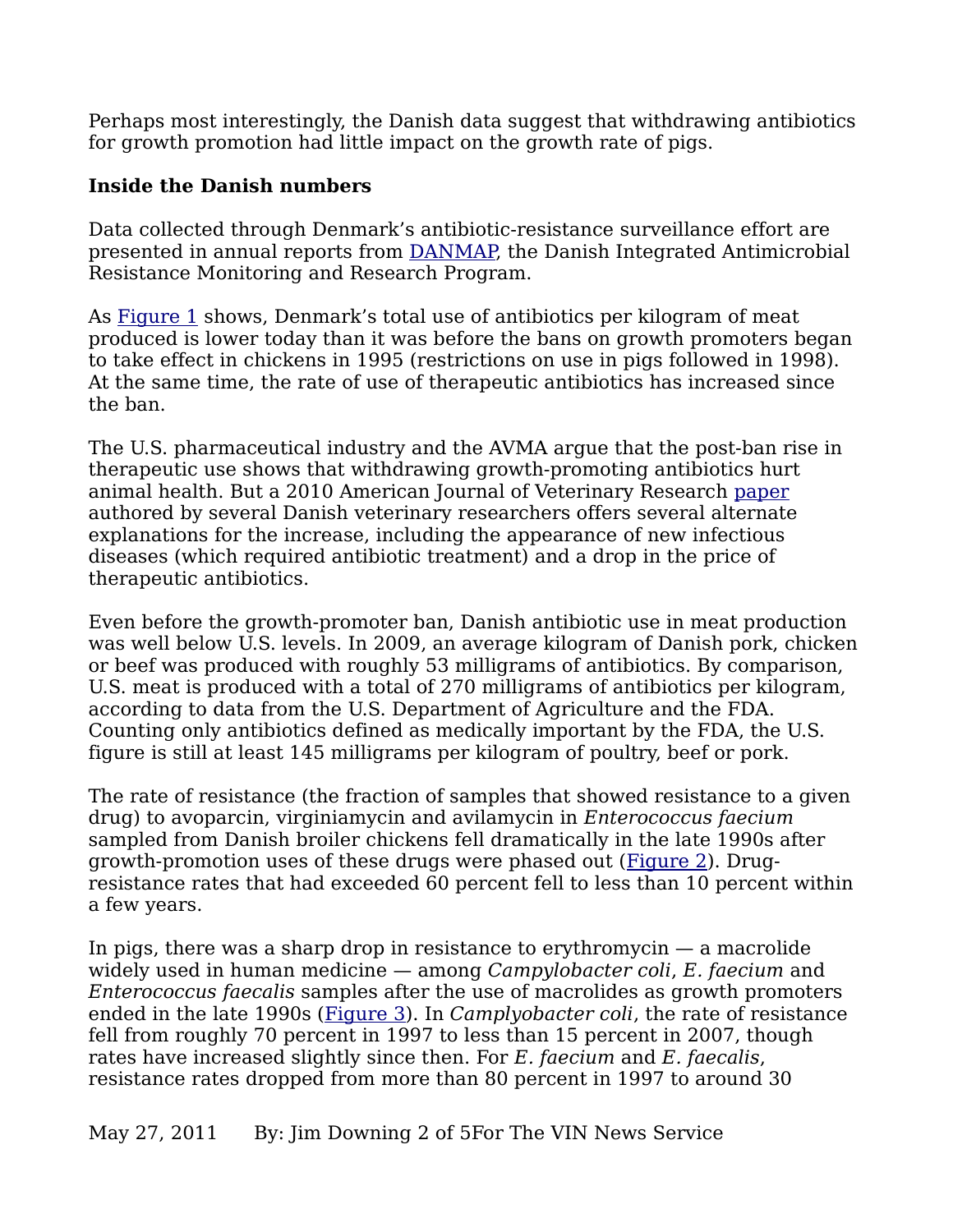Perhaps most interestingly, the Danish data suggest that withdrawing antibiotics for growth promotion had little impact on the growth rate of pigs.

## **Inside the Danish numbers**

Data collected through Denmark's antibiotic-resistance surveillance effort are presented in annual reports from [DANMAP,](http://www.danmap.org/) the Danish Integrated Antimicrobial Resistance Monitoring and Research Program.

As [Figure 1](http://www.vin.com/apputil/image/handler.ashx?docid=4906382) shows, Denmark's total use of antibiotics per kilogram of meat produced is lower today than it was before the bans on growth promoters began to take effect in chickens in 1995 (restrictions on use in pigs followed in 1998). At the same time, the rate of use of therapeutic antibiotics has increased since the ban.

The U.S. pharmaceutical industry and the AVMA argue that the post-ban rise in therapeutic use shows that withdrawing growth-promoting antibiotics hurt animal health. But a 2010 American Journal of Veterinary Research [paper](http://avmajournals.avma.org/doi/abs/10.2460/ajvr.71.7.726?journalCode=ajvr%20) authored by several Danish veterinary researchers offers several alternate explanations for the increase, including the appearance of new infectious diseases (which required antibiotic treatment) and a drop in the price of therapeutic antibiotics.

Even before the growth-promoter ban, Danish antibiotic use in meat production was well below U.S. levels. In 2009, an average kilogram of Danish pork, chicken or beef was produced with roughly 53 milligrams of antibiotics. By comparison, U.S. meat is produced with a total of 270 milligrams of antibiotics per kilogram, according to data from the U.S. Department of Agriculture and the FDA. Counting only antibiotics defined as medically important by the FDA, the U.S. figure is still at least 145 milligrams per kilogram of poultry, beef or pork.

The rate of resistance (the fraction of samples that showed resistance to a given drug) to avoparcin, virginiamycin and avilamycin in *Enterococcus faecium* sampled from Danish broiler chickens fell dramatically in the late 1990s after growth-promotion uses of these drugs were phased out [\(Figure 2\)](http://www.vin.com/apputil/image/handler.ashx?docid=4906403). Drugresistance rates that had exceeded 60 percent fell to less than 10 percent within a few years.

In pigs, there was a sharp drop in resistance to erythromycin  $-$  a macrolide widely used in human medicine — among *Campylobacter coli*, *E. faecium* and *Enterococcus faecalis* samples after the use of macrolides as growth promoters ended in the late 1990s [\(Figure 3\)](http://www.vin.com/apputil/image/handler.ashx?docid=4906406). In *Camplyobacter coli*, the rate of resistance fell from roughly 70 percent in 1997 to less than 15 percent in 2007, though rates have increased slightly since then. For *E. faecium* and *E. faecalis*, resistance rates dropped from more than 80 percent in 1997 to around 30

May 27, 2011 By: Jim Downing 2 of 5For The VIN News Service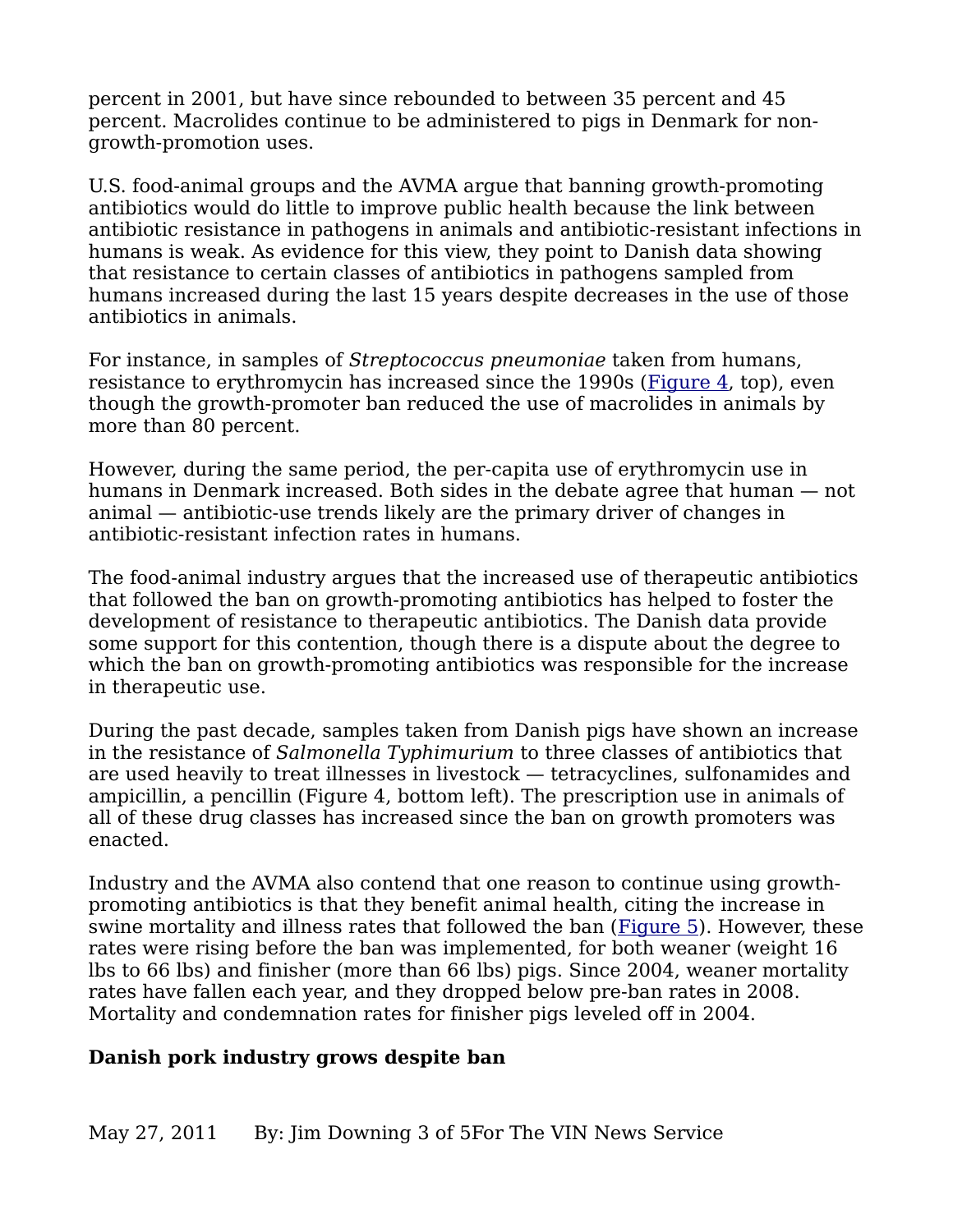percent in 2001, but have since rebounded to between 35 percent and 45 percent. Macrolides continue to be administered to pigs in Denmark for nongrowth-promotion uses.

U.S. food-animal groups and the AVMA argue that banning growth-promoting antibiotics would do little to improve public health because the link between antibiotic resistance in pathogens in animals and antibiotic-resistant infections in humans is weak. As evidence for this view, they point to Danish data showing that resistance to certain classes of antibiotics in pathogens sampled from humans increased during the last 15 years despite decreases in the use of those antibiotics in animals.

For instance, in samples of *Streptococcus pneumoniae* taken from humans, resistance to erythromycin has increased since the 1990s [\(Figure 4,](http://www.vin.com/apputil/image/handler.ashx?docid=4906407) top), even though the growth-promoter ban reduced the use of macrolides in animals by more than 80 percent.

However, during the same period, the per-capita use of erythromycin use in humans in Denmark increased. Both sides in the debate agree that human — not animal — antibiotic-use trends likely are the primary driver of changes in antibiotic-resistant infection rates in humans.

The food-animal industry argues that the increased use of therapeutic antibiotics that followed the ban on growth-promoting antibiotics has helped to foster the development of resistance to therapeutic antibiotics. The Danish data provide some support for this contention, though there is a dispute about the degree to which the ban on growth-promoting antibiotics was responsible for the increase in therapeutic use.

During the past decade, samples taken from Danish pigs have shown an increase in the resistance of *Salmonella Typhimurium* to three classes of antibiotics that are used heavily to treat illnesses in livestock — tetracyclines, sulfonamides and ampicillin, a pencillin (Figure 4, bottom left). The prescription use in animals of all of these drug classes has increased since the ban on growth promoters was enacted.

Industry and the AVMA also contend that one reason to continue using growthpromoting antibiotics is that they benefit animal health, citing the increase in swine mortality and illness rates that followed the ban [\(Figure 5\)](http://www.vin.com/apputil/image/handler.ashx?docid=4906383). However, these rates were rising before the ban was implemented, for both weaner (weight 16 lbs to 66 lbs) and finisher (more than 66 lbs) pigs. Since 2004, weaner mortality rates have fallen each year, and they dropped below pre-ban rates in 2008. Mortality and condemnation rates for finisher pigs leveled off in 2004.

## **Danish pork industry grows despite ban**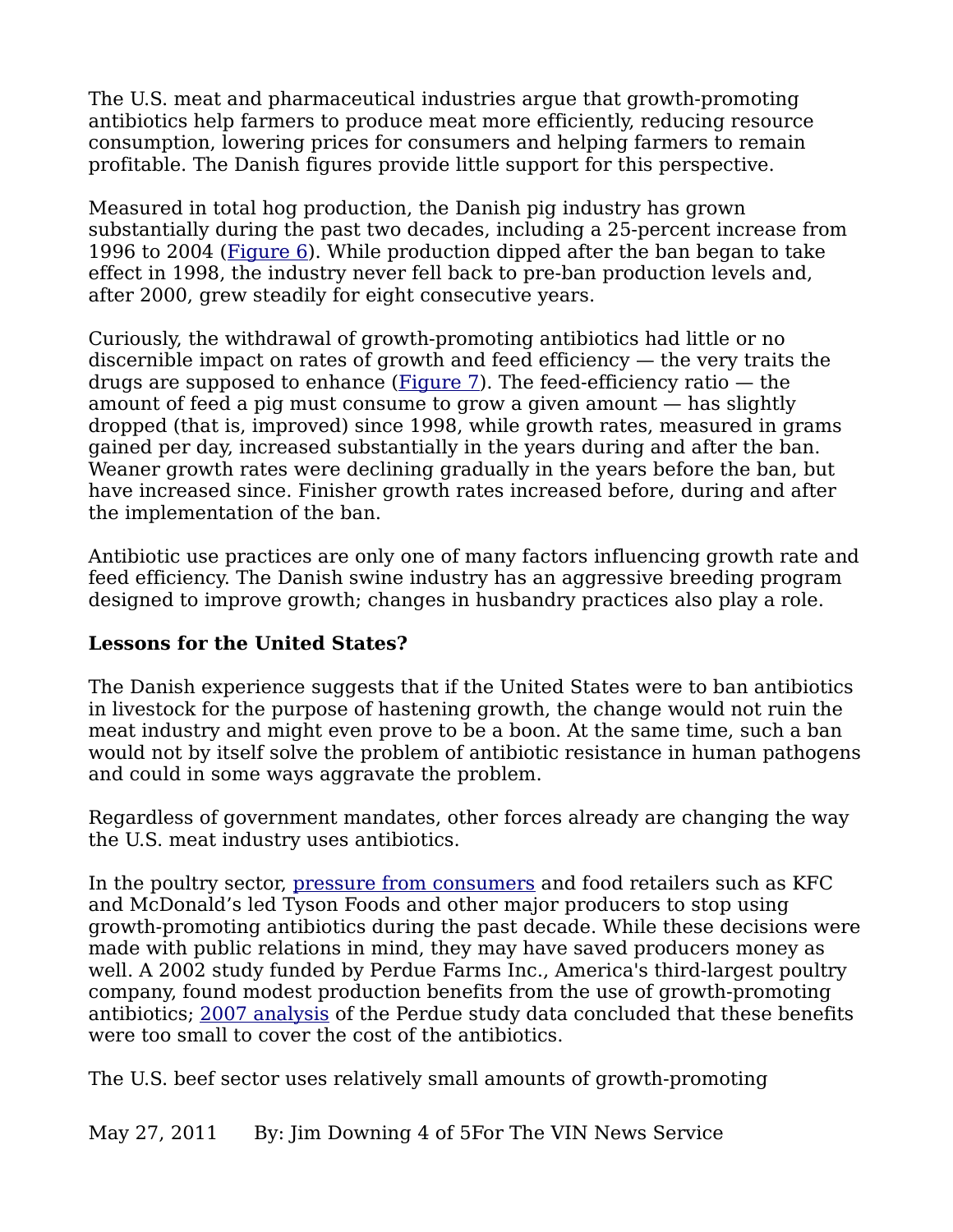The U.S. meat and pharmaceutical industries argue that growth-promoting antibiotics help farmers to produce meat more efficiently, reducing resource consumption, lowering prices for consumers and helping farmers to remain profitable. The Danish figures provide little support for this perspective.

Measured in total hog production, the Danish pig industry has grown substantially during the past two decades, including a 25-percent increase from 1996 to 2004 [\(Figure 6\)](http://www.vin.com/apputil/image/handler.ashx?docid=4906385). While production dipped after the ban began to take effect in 1998, the industry never fell back to pre-ban production levels and, after 2000, grew steadily for eight consecutive years.

Curiously, the withdrawal of growth-promoting antibiotics had little or no discernible impact on rates of growth and feed efficiency — the very traits the drugs are supposed to enhance [\(Figure 7\)](http://www.vin.com/apputil/image/handler.ashx?docid=4906387). The feed-efficiency ratio  $-$  the amount of feed a pig must consume to grow a given amount — has slightly dropped (that is, improved) since 1998, while growth rates, measured in grams gained per day, increased substantially in the years during and after the ban. Weaner growth rates were declining gradually in the years before the ban, but have increased since. Finisher growth rates increased before, during and after the implementation of the ban.

Antibiotic use practices are only one of many factors influencing growth rate and feed efficiency. The Danish swine industry has an aggressive breeding program designed to improve growth; changes in husbandry practices also play a role.

## **Lessons for the United States?**

The Danish experience suggests that if the United States were to ban antibiotics in livestock for the purpose of hastening growth, the change would not ruin the meat industry and might even prove to be a boon. At the same time, such a ban would not by itself solve the problem of antibiotic resistance in human pathogens and could in some ways aggravate the problem.

Regardless of government mandates, other forces already are changing the way the U.S. meat industry uses antibiotics.

In the poultry sector, [pressure from consumers](http://www.ncbi.nlm.nih.gov/pubmed/16863062) and food retailers such as KFC and McDonald's led Tyson Foods and other major producers to stop using growth-promoting antibiotics during the past decade. While these decisions were made with public relations in mind, they may have saved producers money as well. A 2002 study funded by Perdue Farms Inc., America's third-largest poultry company, found modest production benefits from the use of growth-promoting antibiotics; [2007 analysis](http://www.jhsph.edu/bin/s/a/antibiotics_poultry07.pdf) of the Perdue study data concluded that these benefits were too small to cover the cost of the antibiotics.

The U.S. beef sector uses relatively small amounts of growth-promoting

May 27, 2011 By: Jim Downing 4 of 5For The VIN News Service